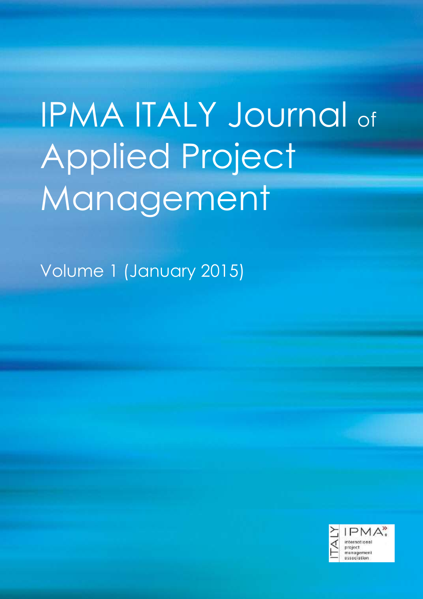# IPMA ITALY Journal of Applied Project Management

Volume 1 (January 2015)

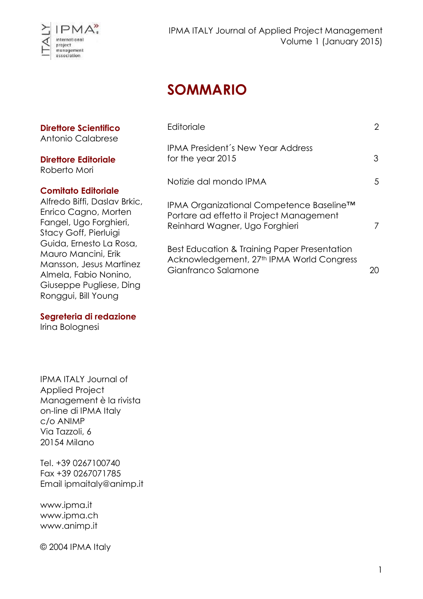

# **SOMMARIO**

#### **Direttore Scientifico**

Antonio Calabrese

#### **Direttore Editoriale**

Roberto Mori

#### **Comitato Editoriale**

Alfredo Biffi, Daslav Brkic, Enrico Cagno, Morten Fangel, Ugo Forghieri, Stacy Goff, Pierluigi Guida, Ernesto La Rosa, Mauro Mancini, Erik Mansson, Jesus Martinez Almela, Fabio Nonino, Giuseppe Pugliese, Ding Ronggui, Bill Young

#### **Segreteria di redazione**

Irina Bolognesi

### Editoriale 2 IPMA President´s New Year Address for the year 2015 3 Notizie dal mondo IPMA 5 IPMA Organizational Competence Baseline™ Portare ad effetto il Project Management Reinhard Wagner, Ugo Forghieri 7 Best Education & Training Paper Presentation Acknowledgement, 27<sup>th</sup> IPMA World Congress Gianfranco Salamone 20

IPMA ITALY Journal of Applied Project Management è la rivista on-line di IPMA Italy c/o ANIMP Via Tazzoli, 6 20154 Milano

Tel. +39 0267100740 Fax +39 0267071785 Email ipmaitaly@animp.it

www.ipma.it www.ipma.ch www.animp.it

© 2004 IPMA Italy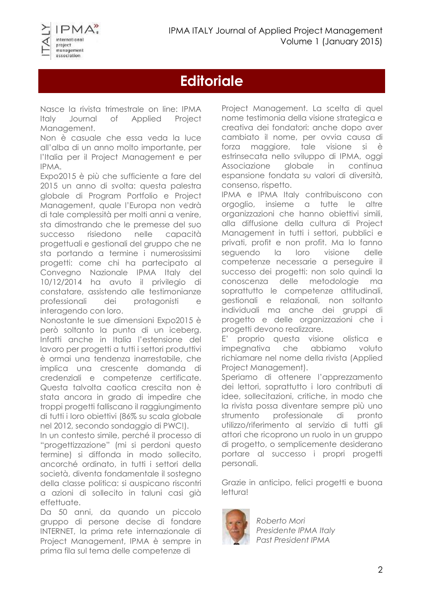

### **Editoriale**

Nasce la rivista trimestrale on line: IPMA Italy Journal of Applied Project Management.

Non è casuale che essa veda la luce all'alba di un anno molto importante, per l'Italia per il Project Management e per IPMA.

Expo2015 è più che sufficiente a fare del 2015 un anno di svolta: questa palestra globale di Program Portfolio e Project Management, quale l'Europa non vedrà di tale complessità per molti anni a venire, sta dimostrando che le premesse del suo successo risiedono nelle capacità progettuali e gestionali del gruppo che ne sta portando a termine i numerosissimi progetti: come chi ha partecipato al Convegno Nazionale IPMA Italy del 10/12/2014 ha avuto il privilegio di constatare, assistendo alle testimonianze professionali dei protagonisti e interagendo con loro.

Nonostante le sue dimensioni Expo2015 è però soltanto la punta di un iceberg. Infatti anche in Italia l'estensione del lavoro per progetti a tutti i settori produttivi è ormai una tendenza inarrestabile, che implica una crescente domanda di credenziali e competenze certificate. Questa talvolta caotica crescita non è stata ancora in grado di impedire che troppi progetti falliscano il raggiungimento di tutti i loro obiettivi (86% su scala globale nel 2012, secondo sondaggio di PWC!).

In un contesto simile, perché il processo di "progettizzazione" (mi si perdoni questo termine) si diffonda in modo sollecito, ancorché ordinato, in tutti i settori della società, diventa fondamentale il sostegno della classe politica: si auspicano riscontri a azioni di sollecito in taluni casi già effettuate.

Da 50 anni, da quando un piccolo gruppo di persone decise di fondare INTERNET, la prima rete internazionale di Project Management, IPMA è sempre in prima fila sul tema delle competenze di

Project Management. La scelta di quel nome testimonia della visione strategica e creativa dei fondatori: anche dopo aver cambiato il nome, per ovvia causa di forza maggiore, tale visione si è estrinsecata nello sviluppo di IPMA, oggi Associazione globale in continua espansione fondata su valori di diversità, consenso, rispetto.

IPMA e IPMA Italy contribuiscono con orgoglio, insieme a tutte le altre organizzazioni che hanno obiettivi simili, alla diffusione della cultura di Project Management in tutti i settori, pubblici e privati, profit e non profit. Ma lo fanno seguendo la loro visione delle competenze necessarie a perseguire il successo dei progetti: non solo quindi la conoscenza delle metodologie ma soprattutto le competenze attitudinali, gestionali e relazionali, non soltanto individuali ma anche dei gruppi di progetto e delle organizzazioni che i progetti devono realizzare.

E' proprio questa visione olistica e impegnativa che abbiamo voluto richiamare nel nome della rivista (Applied Project Management).

Speriamo di ottenere l'apprezzamento dei lettori, soprattutto i loro contributi di idee, sollecitazioni, critiche, in modo che la rivista possa diventare sempre più uno strumento professionale di pronto utilizzo/riferimento al servizio di tutti gli attori che ricoprono un ruolo in un gruppo di progetto, o semplicemente desiderano portare al successo i propri progetti personali.

Grazie in anticipo, felici progetti e buona lettura!



*Roberto Mori Presidente IPMA Italy Past President IPMA*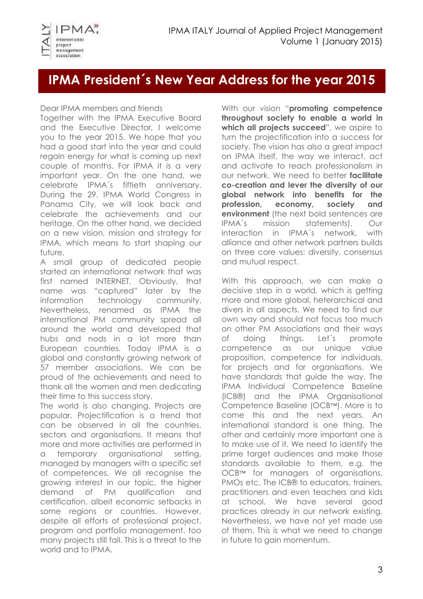

### **IPMA President´s New Year Address for the year 2015**

#### Dear IPMA members and friends

Together with the IPMA Executive Board and the Executive Director, I welcome you to the year 2015. We hope that you had a good start into the year and could regain energy for what is coming up next couple of months. For IPMA it is a very important year. On the one hand, we celebrate IPMA´s fiftieth anniversary. During the 29. IPMA World Congress in Panama City, we will look back and celebrate the achievements and our heritage. On the other hand, we decided on a new vision, mission and strategy for IPMA, which means to start shaping our future.

A small group of dedicated people started an international network that was first named INTERNET. Obviously, that name was "captured" later by the information technology community. Nevertheless, renamed as IPMA the international PM community spread all around the world and developed that hubs and nods in a lot more than European countries. Today IPMA is a global and constantly growing network of 57 member associations. We can be proud of the achievements and need to thank all the women and men dedicating their time to this success story.

The world is also changing. Projects are popular. Projectification is a trend that can be observed in all the countries, sectors and organisations. It means that more and more activities are performed in a temporary organisational setting, managed by managers with a specific set of competences. We all recognise the growing interest in our topic, the higher demand of PM qualification and certification, albeit economic setbacks in some regions or countries. However, despite all efforts of professional project, program and portfolio management, too many projects still fail. This is a threat to the world and to IPMA.

With our vision "**promoting competence throughout society to enable a world in**  which all projects succeed", we aspire to turn the projectification into a success for society. The vision has also a great impact on IPMA itself, the way we interact, act and activate to reach professionalism in our network. We need to better **facilitate co-creation and lever the diversity of our global network into benefits for the profession, economy, society and environment** (the next bold sentences are IPMA´s mission statements). Our interaction in IPMA´s network, with alliance and other network partners builds on three core values: diversity, consensus and mutual respect.

With this approach, we can make a decisive step in a world, which is getting more and more global, heterarchical and divers in all aspects. We need to find our own way and should not focus too much on other PM Associations and their ways of doing things. Let´s promote competence as our unique value proposition, competence for individuals, for projects and for organisations. We have standards that guide the way. The IPMA Individual Competence Baseline (ICB®) and the IPMA Organisational Competence Baseline (OCB™). More is to come this and the next years. An international standard is one thing. The other and certainly more important one is to make use of it. We need to identify the prime target audiences and make those standards available to them, e.g. the OCB™ for managers of organisations, PMOs etc. The ICB® to educators, trainers, practitioners and even teachers and kids at school. We have several good practices already in our network existing. Nevertheless, we have not yet made use of them. This is what we need to change in future to gain momentum.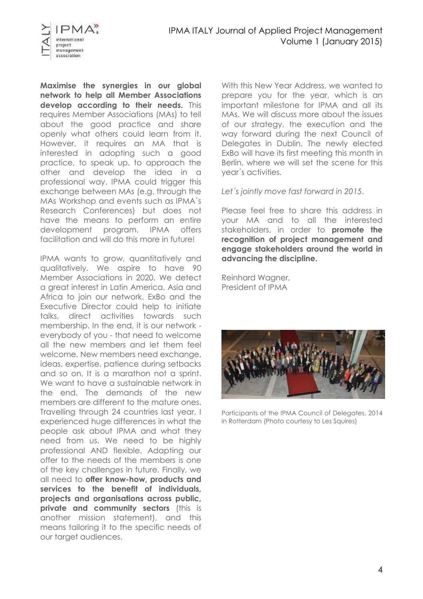

**Maximise the synergies in our global network to help all Member Associations develop according to their needs.** This requires Member Associations (MAs) to tell about the good practice and share openly what others could learn from it. However, it requires an MA that is interested in adopting such a good practice, to speak up, to approach the other and develop the idea in a professional way. IPMA could trigger this exchange between MAs (e.g. through the MAs Workshop and events such as IPMA´s Research Conferences) but does not have the means to perform an entire development program. IPMA offers facilitation and will do this more in future!

IPMA wants to grow, quantitatively and qualitatively. We aspire to have 90 Member Associations in 2020. We detect a great interest in Latin America, Asia and Africa to join our network. ExBo and the Executive Director could help to initiate talks, direct activities towards such membership. In the end, it is our network everybody of you - that need to welcome all the new members and let them feel welcome. New members need exchange, ideas, expertise, patience during setbacks and so on. It is a marathon not a sprint. We want to have a sustainable network in the end. The demands of the new members are different to the mature ones. Travelling through 24 countries last year, I experienced huge differences in what the people ask about IPMA and what they need from us. We need to be highly professional AND flexible. Adapting our offer to the needs of the members is one of the key challenges in future. Finally, we all need to **offer know-how, products and services to the benefit of individuals, projects and organisations across public, private and community sectors** (this is another mission statement), and this means tailoring it to the specific needs of our target audiences.

With this New Year Address, we wanted to prepare you for the year, which is an important milestone for IPMA and all its MAs. We will discuss more about the issues of our strategy, the execution and the way forward during the next Council of Delegates in Dublin. The newly elected ExBo will have its first meeting this month in Berlin, where we will set the scene for this year´s activities.

*Let´s jointly move fast forward in 2015*.

Please feel free to share this address in your MA and to all the interested stakeholders, in order to **promote the recognition of project management and engage stakeholders around the world in advancing the discipline.**

Reinhard Wagner, President of IPMA



Participants of the IPMA Council of Delegates, 2014 in Rotterdam (Photo courtesy to Les Squires)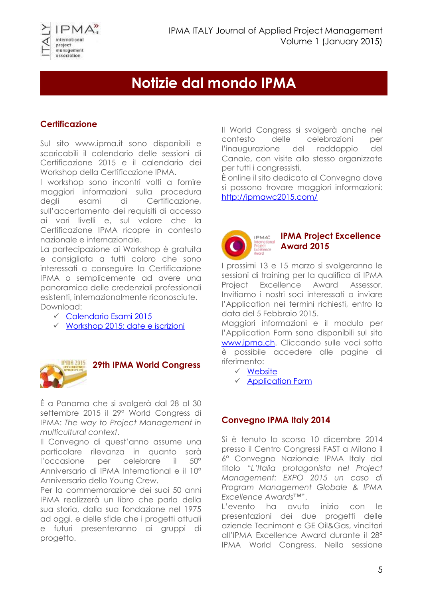

## **Notizie dal mondo IPMA**

#### **Certificazione**

Sul sito www.ipma.it sono disponibili e scaricabili il calendario delle sessioni di Certificazione 2015 e il calendario dei Workshop della Certificazione IPMA.

I workshop sono incontri volti a fornire maggiori informazioni sulla procedura degli esami di Certificazione, sull'accertamento dei requisiti di accesso ai vari livelli e, sul valore che la Certificazione IPMA ricopre in contesto nazionale e internazionale.

La partecipazione ai Workshop è gratuita e consigliata a tutti coloro che sono interessati a conseguire la Certificazione IPMA o semplicemente ad avere una panoramica delle credenziali professionali esistenti, internazionalmente riconosciute. Download:

- [Calendario Esami](http://ipma.it/ipma/index.php/certificazioni/certificazione-individuale/iscrizioni-e-workshop) 2015
- $\checkmark$  [Workshop 2015: date e iscrizioni](http://ipma.it/ipma/index.php/certificazioni/certificazione-individuale/iscrizioni-e-workshop)



**29th IPMA World Congress**

È a Panama che si svolgerà dal 28 al 30 settembre 2015 il 29° World Congress di IPMA: *The way to Project Management in multicultural context*.

Il Convegno di quest'anno assume una particolare rilevanza in quanto sarà l'occasione per celebrare il 50° Anniversario di IPMA International e il 10° Anniversario dello Young Crew.

Per la commemorazione dei suoi 50 anni IPMA realizzerà un libro che parla della sua storia, dalla sua fondazione nel 1975 ad oggi, e delle sfide che i progetti attuali e futuri presenteranno ai gruppi di progetto.

Il World Congress si svolgerà anche nel contesto delle celebrazioni per l'inaugurazione del raddoppio del Canale, con visite allo stesso organizzate per tutti i congressisti.

È online il sito dedicato al Convegno dove si possono trovare maggiori informazioni: <http://ipmawc2015.com/>



#### **IPMA Project Excellence Award 2015**

I prossimi 13 e 15 marzo si svolgeranno le sessioni di training per la qualifica di IPMA Project Excellence Award Assessor. Invitiamo i nostri soci interessati a inviare l'Application nei termini richiesti, entro la data del 5 Febbraio 2015.

Maggiori informazioni e il modulo per l'Application Form sono disponibili sul sito [www.ipma.ch.](http://www.ipma.ch/) Cliccando sulle voci sotto è possibile accedere alle pagine di riferimento:

- $\checkmark$  [Website](http://ipma.ch/awards/project-excellence/pe-award-training/)
- [Application Form](file://WSERVER/IpmaItaly/RIVISTA%20PM/NUMERO%200/application%20form)

#### **Convegno IPMA Italy 2014**

Si è tenuto lo scorso 10 dicembre 2014 presso il Centro Congressi FAST a Milano il 6° Convegno Nazionale IPMA Italy dal titolo "*L'Italia protagonista nel Project Management: EXPO 2015 un caso di Program Management Globale & IPMA Excellence Awards™*".

L'evento ha avuto inizio con le presentazioni dei due progetti delle aziende Tecnimont e GE Oil&Gas, vincitori all'IPMA Excellence Award durante il 28° IPMA World Congress. Nella sessione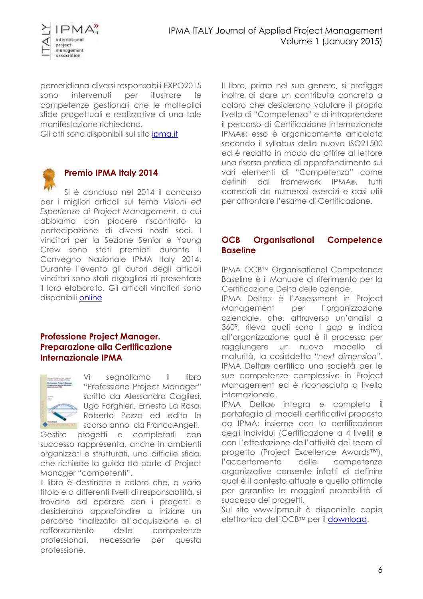

pomeridiana diversi responsabili EXPO2015 sono intervenuti per illustrare le competenze gestionali che le molteplici sfide progettuali e realizzative di una tale manifestazione richiedono.

Gli atti sono disponibili sul sito [ipma.it](http://ipma.it/ipma/index.php/news-eventi/news-eventi-2/1564-expo-2015-un-caso-di-program-management-globale-che-vede-l-italia-protagonista)



#### **Premio IPMA Italy 2014**

Si è concluso nel 2014 il concorso per i migliori articoli sul tema *Visioni ed Esperienze di Project Management*, a cui abbiamo con piacere riscontrato la partecipazione di diversi nostri soci. I vincitori per la Sezione Senior e Young Crew sono stati premiati durante il Convegno Nazionale IPMA Italy 2014. Durante l'evento gli autori degli articoli vincitori sono stati orgogliosi di presentare il loro elaborato. Gli articoli vincitori sono disponibili [online](http://ipma.it/ipma/index.php/news-eventi/concorsi)

#### **Professione Project Manager. Preparazione alla Certificazione Internazionale IPMA**



Vi segnaliamo il libro "Professione Project Manager" scritto da Alessandro Cagliesi, Ugo Forghieri, Ernesto La Rosa, Roberto Pozza ed edito lo scorso anno da FrancoAngeli.

Gestire progetti e completarli con successo rappresenta, anche in ambienti organizzati e strutturati, una difficile sfida, che richiede la guida da parte di Project Manager "competenti".

Il libro è destinato a coloro che, a vario titolo e a differenti livelli di responsabilità, si trovano ad operare con i progetti e desiderano approfondire o iniziare un percorso finalizzato all'acquisizione e al rafforzamento delle competenze professionali, necessarie per questa professione.

Il libro, primo nel suo genere, si prefigge inoltre di dare un contributo concreto a coloro che desiderano valutare il proprio livello di "Competenza" e di intraprendere il percorso di Certificazione internazionale IPMA®; esso è organicamente articolato secondo il syllabus della nuova ISO21500 ed è redatto in modo da offrire al lettore una risorsa pratica di approfondimento sui vari elementi di "Competenza" come definiti dal framework IPMA®, tutti corredati da numerosi esercizi e casi utili per affrontare l'esame di Certificazione.

#### **OCB Organisational Competence Baseline**

IPMA OCB™ Organisational Competence Baseline è il Manuale di riferimento per la Certificazione Delta delle aziende.

IPMA Delta® è l'Assessment in Project Management per l'organizzazione aziendale, che, attraverso un'analisi a 360°, rileva quali sono i *gap* e indica all'organizzazione qual è il processo per raggiungere un nuovo modello di maturità, la cosiddetta "*next dimension"*. IPMA Delta® certifica una società per le sue competenze complessive in Project Management ed è riconosciuta a livello internazionale.

IPMA Delta® integra e completa il portafoglio di modelli certificativi proposto da IPMA: insieme con la certificazione degli individui (Certificazione a 4 livelli) e con l'attestazione dell'attività dei team di progetto (Project Excellence Awards™), l'accertamento delle competenze organizzative consente infatti di definire qual è il contesto attuale e quello ottimale per garantire le maggiori probabilità di successo dei progetti.

Sul sito www.ipma.it è disponibile copia elettronica dell'OCB™ per il [download.](http://ipma.it/ipma/index.php/certificazioni/certificazione-per-le-aziende)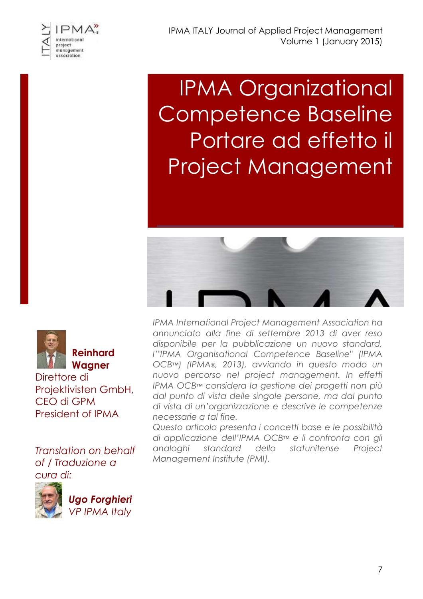

# IPMA Organizational Competence Baseline Portare ad effetto il Project Management





#### **Reinhard Wagner**

Direttore di Projektivisten GmbH, CEO di GPM President of IPMA

*Translation on behalf of / Traduzione a cura di:* 



*Ugo Forghieri VP IPMA Italy*

*IPMA International Project Management Association ha annunciato alla fine di settembre 2013 di aver reso disponibile per la pubblicazione un nuovo standard, l'"IPMA Organisational Competence Baseline" (IPMA OCB*™*) (IPMA®, 2013), avviando in questo modo un nuovo percorso nel project management. In effetti IPMA OCB*™ *considera la gestione dei progetti non più dal punto di vista delle singole persone, ma dal punto di vista di un'organizzazione e descrive le competenze necessarie a tal fine.*

*Questo articolo presenta i concetti base e le possibilità di applicazione dell'IPMA OCB*™ *e li confronta con gli analoghi standard dello statunitense Project Management Institute (PMI).*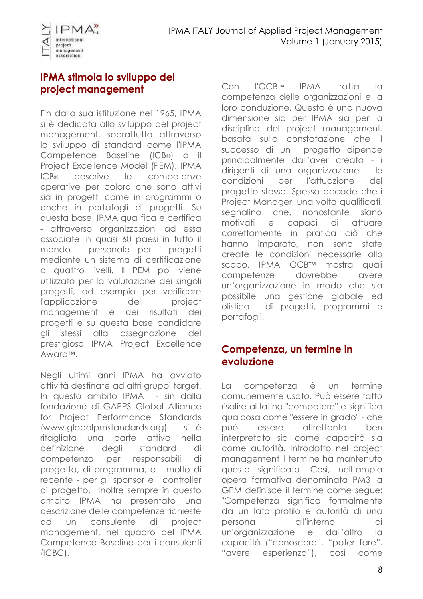



#### **IPMA stimola lo sviluppo del project management**

Fin dalla sua istituzione nel 1965, IPMA si è dedicata allo sviluppo del project management, soprattutto attraverso lo sviluppo di standard come l'IPMA Competence Baseline (ICB®) o il Project Excellence Model (PEM). IPMA ICB® descrive le competenze operative per coloro che sono attivi sia in progetti come in programmi o anche in portafogli di progetti. Su questa base, IPMA qualifica e certifica - attraverso organizzazioni ad essa associate in quasi 60 paesi in tutto il mondo - personale per i progetti mediante un sistema di certificazione a quattro livelli. Il PEM poi viene utilizzato per la valutazione dei singoli progetti, ad esempio per verificare l'applicazione del project management e dei risultati dei progetti e su questa base candidare gli stessi alla assegnazione del prestigioso IPMA Project Excellence Award™.

Negli ultimi anni IPMA ha avviato attività destinate ad altri gruppi target. In questo ambito IPMA - sin dalla fondazione di GAPPS Global Alliance for Project Performance Standards (www.globalpmstandards.org) - si è ritagliata una parte attiva nella definizione degli standard di competenza per responsabili di progetto, di programma, e - molto di recente - per gli sponsor e i controller di progetto. Inoltre sempre in questo ambito IPMA ha presentato una descrizione delle competenze richieste ad un consulente di project management, nel quadro del IPMA Competence Baseline per i consulenti (ICBC).

Con l'OCB™ IPMA tratta la competenza delle organizzazioni e la loro conduzione. Questa è una nuova dimensione sia per IPMA sia per la disciplina del project management, basata sulla constatazione che il successo di un progetto dipende principalmente dall'aver creato - i dirigenti di una organizzazione - le condizioni per l'attuazione del progetto stesso. Spesso accade che i Project Manager, una volta qualificati, segnalino che, nonostante siano motivati e capaci di attuare correttamente in pratica ciò che hanno imparato, non sono state create le condizioni necessarie allo scopo. IPMA OCB™ mostra quali competenze dovrebbe avere un'organizzazione in modo che sia possibile una gestione globale ed olistica di progetti, programmi e portafogli.

#### **Competenza, un termine in evoluzione**

La competenza è un termine comunemente usato. Può essere fatto risalire al latino "competere" e significa qualcosa come "essere in grado" - che può essere altrettanto ben interpretato sia come capacità sia come autorità. Introdotto nel project management il termine ha mantenuto questo significato. Così, nell'ampia opera formativa denominata PM3 la GPM definisce il termine come segue: "Competenza significa formalmente da un lato profilo e autorità di una persona all'interno di un'organizzazione e dall'altro la capacità ("conoscere", "poter fare", "avere esperienza"), così come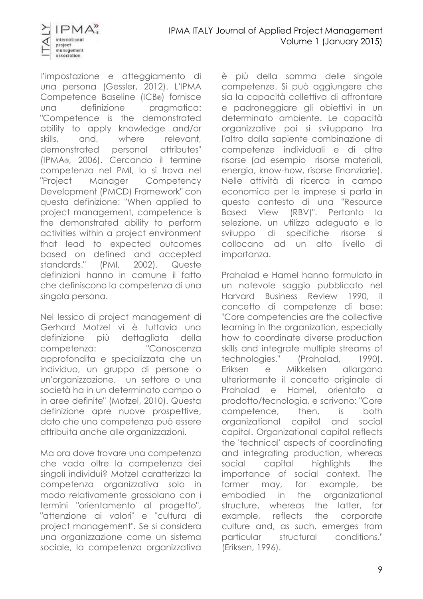



l'impostazione e atteggiamento di una persona (Gessler, 2012). L'IPMA Competence Baseline (ICB®) fornisce una definizione pragmatica: "Competence is the demonstrated ability to apply knowledge and/or skills, and, where relevant, demonstrated personal attributes" (IPMA®, 2006). Cercando il termine competenza nel PMI, lo si trova nel "Project Manager Competency Development (PMCD) Framework" con questa definizione: "When applied to project management, competence is the demonstrated ability to perform activities within a project environment that lead to expected outcomes based on defined and accepted standards." (PMI, 2002). Queste definizioni hanno in comune il fatto che definiscono la competenza di una singola persona.

Nel lessico di project management di Gerhard Motzel vi è tuttavia una definizione più dettagliata della competenza: "Conoscenza approfondita e specializzata che un individuo, un gruppo di persone o un'organizzazione, un settore o una società ha in un determinato campo o in aree definite" (Motzel, 2010). Questa definizione apre nuove prospettive, dato che una competenza può essere attribuita anche alle organizzazioni.

Ma ora dove trovare una competenza che vada oltre la competenza dei singoli individui? Motzel caratterizza la competenza organizzativa solo in modo relativamente grossolano con i termini "orientamento al progetto", "attenzione ai valori" e "cultura di project management". Se si considera una organizzazione come un sistema sociale, la competenza organizzativa è più della somma delle singole competenze. Si può aggiungere che sia la capacità collettiva di affrontare e padroneggiare gli obiettivi in un determinato ambiente. Le capacità organizzative poi si sviluppano tra l'altro dalla sapiente combinazione di competenze individuali e di altre risorse (ad esempio risorse materiali, energia, know-how, risorse finanziarie). Nelle attività di ricerca in campo economico per le imprese si parla in questo contesto di una "Resource Based View (RBV)". Pertanto la selezione, un utilizzo adeguato e lo sviluppo di specifiche risorse si collocano ad un alto livello di importanza.

Prahalad e Hamel hanno formulato in un notevole saggio pubblicato nel Harvard Business Review 1990, il concetto di competenze di base: "Core competencies are the collective learning in the organization, especially how to coordinate diverse production skills and integrate multiple streams of technologies." (Prahalad, 1990). Eriksen e Mikkelsen allargano ulteriormente il concetto originale di Prahalad e Hamel, orientato a prodotto/tecnologia, e scrivono: "Core competence, then, is both organizational capital and social capital. Organizational capital reflects the 'technical' aspects of coordinating and integrating production, whereas social capital highlights the importance of social context. The former may, for example, be embodied in the organizational structure, whereas the latter, for example, reflects the corporate culture and, as such, emerges from particular structural conditions." (Eriksen, 1996).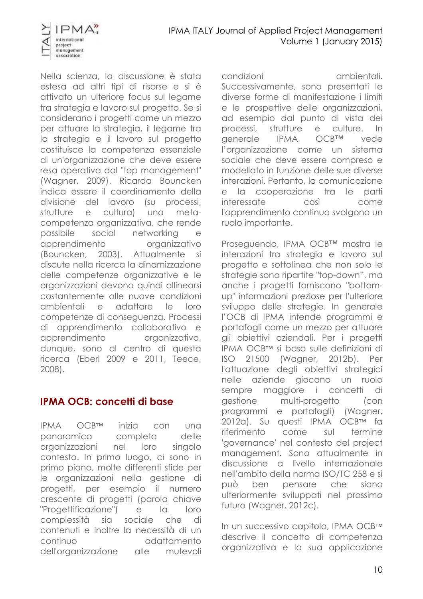

Nella scienza, la discussione è stata estesa ad altri tipi di risorse e si è attivato un ulteriore focus sul legame tra strategia e lavoro sul progetto. Se si considerano i progetti come un mezzo per attuare la strategia, il legame tra la strategia e il lavoro sul progetto costituisce la competenza essenziale di un'organizzazione che deve essere resa operativa dal "top management" (Wagner, 2009). Ricarda Bouncken indica essere il coordinamento della divisione del lavoro (su processi, strutture e cultura) una metacompetenza organizzativa, che rende possibile social networking apprendimento organizzativo (Bouncken, 2003). Attualmente si discute nella ricerca la dinamizzazione delle competenze organizzative e le organizzazioni devono quindi allinearsi costantemente alle nuove condizioni ambientali e adattare le loro competenze di conseguenza. Processi di apprendimento collaborativo e apprendimento organizzativo, dunque, sono al centro di questa ricerca (Eberl 2009 e 2011, Teece, 2008).

#### **IPMA OCB: concetti di base**

IPMA OCB™ inizia con una panoramica completa delle organizzazioni nel loro singolo contesto. In primo luogo, ci sono in primo piano, molte differenti sfide per le organizzazioni nella gestione di progetti, per esempio il numero crescente di progetti (parola chiave "Progettificazione") e la loro complessità sia sociale che di contenuti e inoltre la necessità di un continuo adattamento dell'organizzazione alle mutevoli

condizioni ambientali. Successivamente, sono presentati le diverse forme di manifestazione i limiti e le prospettive delle organizzazioni, ad esempio dal punto di vista dei processi, strutture e culture. In generale IPMA OCB™ vede l'organizzazione come un sistema sociale che deve essere compreso e modellato in funzione delle sue diverse interazioni. Pertanto, la comunicazione e la cooperazione tra le parti interessate così come l'apprendimento continuo svolgono un ruolo importante.

Proseguendo, IPMA OCB™ mostra le interazioni tra strategia e lavoro sul progetto e sottolinea che non solo le strategie sono ripartite "top-down", ma anche i progetti forniscono "bottomup" informazioni preziose per l'ulteriore sviluppo delle strategie. In generale l'OCB di IPMA intende programmi e portafogli come un mezzo per attuare gli obiettivi aziendali. Per i progetti IPMA OCB™ si basa sulle definizioni di ISO 21500 (Wagner, 2012b). Per l'attuazione degli obiettivi strategici nelle aziende giocano un ruolo sempre maggiore i concetti di gestione multi-progetto (con programmi e portafogli) (Wagner, 2012a). Su questi IPMA OCB™ fa riferimento come sul termine 'governance' nel contesto del project management. Sono attualmente in discussione a livello internazionale nell'ambito della norma ISO/TC 258 e si può ben pensare che siano ulteriormente sviluppati nel prossimo futuro (Wagner, 2012c).

In un successivo capitolo, IPMA OCB™ descrive il concetto di competenza organizzativa e la sua applicazione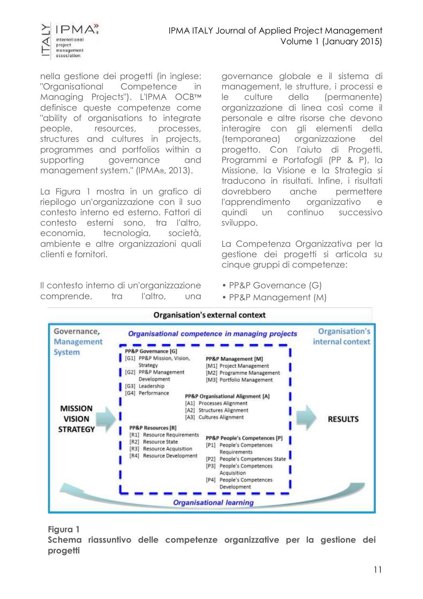

nella gestione dei progetti (in inglese: "Organisational Competence in Managing Projects"). L'IPMA OCB™ definisce queste competenze come "ability of organisations to integrate people, resources, processes, structures and cultures in projects, programmes and portfolios within a supporting governance and management system." (IPMA®, 2013).

La Figura 1 mostra in un grafico di riepilogo un'organizzazione con il suo contesto interno ed esterno. Fattori di contesto esterni sono, tra l'altro, economia, tecnologia, società, ambiente e altre organizzazioni quali clienti e fornitori.

Il contesto interno di un'organizzazione comprende, tra l'altro, una

governance globale e il sistema di management, le strutture, i processi e le culture della (permanente) organizzazione di linea così come il personale e altre risorse che devono interagire con gli elementi della (temporanea) organizzazione del progetto. Con l'aiuto di Progetti, Programmi e Portafogli (PP & P), la Missione, la Visione e la Strategia si traducono in risultati. Infine, i risultati dovrebbero anche permettere l'apprendimento organizzativo e quindi un continuo successivo sviluppo.

La Competenza Organizzativa per la gestione dei progetti si articola su cinque gruppi di competenze:

- PP&P Governance (G)
- PP&P Management (M)



**Organisation's external context** 

**Figura 1**

**Schema riassuntivo delle competenze organizzative per la gestione dei progetti**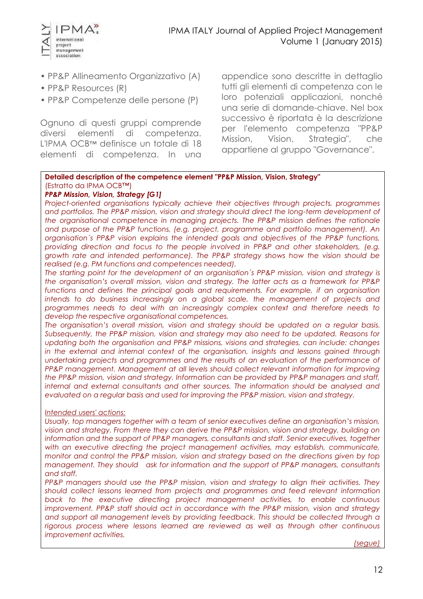

- PP&P Allineamento Organizzativo (A)
- PP&P Resources (R)
- PP&P Competenze delle persone (P)

Ognuno di questi gruppi comprende diversi elementi di competenza. L'IPMA OCB™ definisce un totale di 18 elementi di competenza. In una appendice sono descritte in dettaglio tutti gli elementi di competenza con le loro potenziali applicazioni, nonché una serie di domande-chiave. Nel box successivo è riportata è la descrizione per l'elemento competenza "PP&P Mission, Vision, Strategia", che appartiene al gruppo "Governance".

#### **Detailed description of the competence element "PP&P Mission, Vision, Strategy"** (Estratto da IPMA OCB™)

#### *PP&P Mission, Vision, Strategy [G1]*

*Project-oriented organisations typically achieve their objectives through projects, programmes and portfolios. The PP&P mission, vision and strategy should direct the long-term development of the organisational competence in managing projects. The PP&P mission defines the rationale and purpose of the PP&P functions, (e.g. project, programme and portfolio management). An organisation´s PP&P vision explains the intended goals and objectives of the PP&P functions, providing direction and focus to the people involved in PP&P and other stakeholders, (e.g. growth rate and intended performance). The PP&P strategy shows how the vision should be realised (e.g. PM functions and competences needed).* 

*The starting point for the development of an organisation´s PP&P mission, vision and strategy is the organisation's overall mission, vision and strategy. The latter acts as a framework for PP&P*  functions and defines the principal goals and requirements. For example, if an organisation intends to do business increasingly on a global scale, the management of projects and *programmes needs to deal with an increasingly complex context and therefore needs to develop the respective organisational competences.* 

*The organisation's overall mission, vision and strategy should be updated on a regular basis. Subsequently, the PP&P mission, vision and strategy may also need to be updated. Reasons for updating both the organisation and PP&P missions, visions and strategies, can include: changes in the external and internal context of the organisation, insights and lessons gained through* undertaking projects and programmes and the results of an evaluation of the performance of *PP&P management. Management at all levels should collect relevant information for improving the PP&P mission, vision and strategy. Information can be provided by PP&P managers and staff, internal and external consultants and other sources. The information should be analysed and evaluated on a regular basis and used for improving the PP&P mission, vision and strategy.*

#### *Intended users' actions:*

*Usually, top managers together with a team of senior executives define an organisation's mission, vision and strategy. From there they can derive the PP&P mission, vision and strategy, building on*  information and the support of PP&P managers, consultants and staff. Senior executives, together with an executive directing the project management activities, may establish, communicate, *monitor and control the PP&P mission, vision and strategy based on the directions given by top management. They should ask for information and the support of PP&P managers, consultants and staff.*

*PP&P managers should use the PP&P mission, vision and strategy to align their activities. They should collect lessons learned from projects and programmes and feed relevant information back to the executive directing project management activities, to enable continuous improvement. PP&P staff should act in accordance with the PP&P mission, vision and strategy and support all management levels by providing feedback. This should be collected through a rigorous process where lessons learned are reviewed as well as through other continuous improvement activities.* 

*(segue)*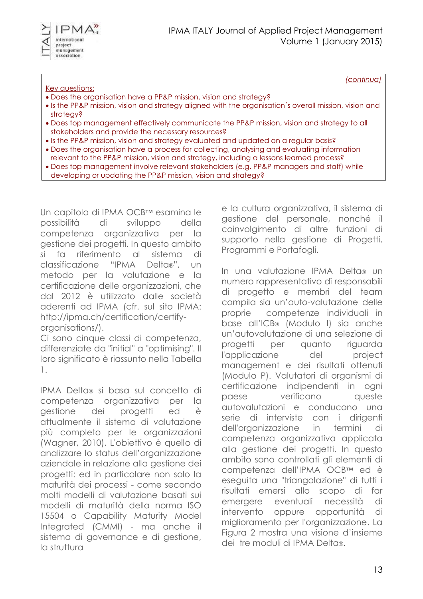

#### Key questions:

- Does the organisation have a PP&P mission, vision and strategy?
- Is the PP&P mission, vision and strategy aligned with the organisation´s overall mission, vision and strategy?
- Does top management effectively communicate the PP&P mission, vision and strategy to all stakeholders and provide the necessary resources?
- Is the PP&P mission, vision and strategy evaluated and updated on a regular basis?
- Does the organisation have a process for collecting, analysing and evaluating information relevant to the PP&P mission, vision and strategy, including a lessons learned process?
- Does top management involve relevant stakeholders (e.g. PP&P managers and staff) while developing or updating the PP&P mission, vision and strategy?

Un capitolo di IPMA OCB™ esamina le possibilità di sviluppo della competenza organizzativa per la gestione dei progetti. In questo ambito si fa riferimento al sistema di classificazione "IPMA Delta®", un metodo per la valutazione e la certificazione delle organizzazioni, che dal 2012 è utilizzato dalle società aderenti ad IPMA (cfr. sul sito IPMA: [http://ipma.ch/certification/certify](http://ipma.ch/certification/certify-organisations/)[organisations/\)](http://ipma.ch/certification/certify-organisations/).

Ci sono cinque classi di competenza, differenziate da "initial" a "optimising". Il loro significato è riassunto nella Tabella 1.

IPMA Delta® si basa sul concetto di competenza organizzativa per la gestione dei progetti ed è attualmente il sistema di valutazione più completo per le organizzazioni (Wagner, 2010). L'obiettivo è quello di analizzare lo status dell'organizzazione aziendale in relazione alla gestione dei progetti: ed in particolare non solo la maturità dei processi - come secondo molti modelli di valutazione basati sui modelli di maturità della norma ISO 15504 o Capability Maturity Model Integrated (CMMI) - ma anche il sistema di governance e di gestione, la struttura

e la cultura organizzativa, il sistema di gestione del personale, nonché il coinvolgimento di altre funzioni di supporto nella gestione di Progetti, Programmi e Portafogli.

*(continua)*

In una valutazione IPMA Delta® un numero rappresentativo di responsabili di progetto e membri del team compila sia un'auto-valutazione delle proprie competenze individuali in base aIl'ICB® (Modulo I) sia anche un'autovalutazione di una selezione di progetti per quanto riguarda l'applicazione del project management e dei risultati ottenuti (Modulo P). Valutatori di organismi di certificazione indipendenti in ogni paese verificano queste autovalutazioni e conducono una serie di interviste con i dirigenti dell'organizzazione in termini di competenza organizzativa applicata alla gestione dei progetti. In questo ambito sono controllati gli elementi di competenza dell'IPMA OCB™ ed è eseguita una "triangolazione" di tutti i risultati emersi allo scopo di far emergere eventuali necessità di intervento oppure opportunità di miglioramento per l'organizzazione. La Figura 2 mostra una visione d'insieme dei tre moduli di IPMA Delta®.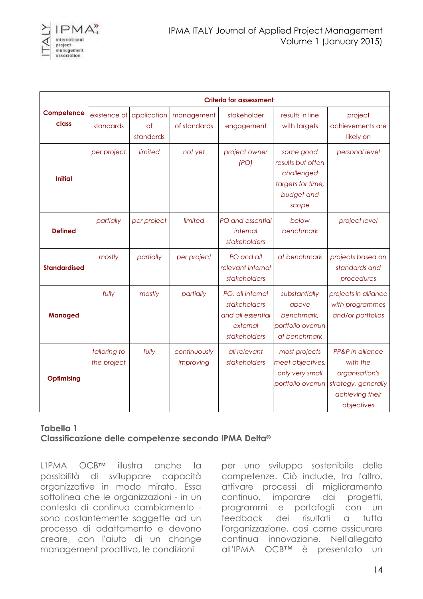

|                     | <b>Criteria for assessment</b> |                                |                            |                                                                                   |                                                                                          |                                                                                                        |
|---------------------|--------------------------------|--------------------------------|----------------------------|-----------------------------------------------------------------------------------|------------------------------------------------------------------------------------------|--------------------------------------------------------------------------------------------------------|
| Competence<br>class | existence of<br>standards      | application<br>of<br>standards | management<br>of standards | stakeholder<br>engagement                                                         | results in line<br>with targets                                                          | project<br>achievements are<br>likely on                                                               |
| <b>Initial</b>      | per project                    | limited                        | not yet                    | project owner<br>(PO)                                                             | some good<br>results but often<br>challenged<br>targets for time,<br>budget and<br>scope | personal level                                                                                         |
| <b>Defined</b>      | partially                      | per project                    | limited                    | PO and essential<br>internal<br>stakeholders                                      | below<br>benchmark                                                                       | project level                                                                                          |
| <b>Standardised</b> | mostly                         | partially                      | per project                | PO and all<br>relevant internal<br>stakeholders                                   | at benchmark                                                                             | projects based on<br>standards and<br>procedures                                                       |
| <b>Managed</b>      | fully                          | mostly                         | partially                  | PO, all internal<br>stakeholders<br>and all essential<br>external<br>stakeholders | substantially<br>above<br>benchmark,<br>portfolio overrun<br>at benchmark                | projects in alliance<br>with programmes<br>and/or portfolios                                           |
| <b>Optimising</b>   | tailoring to<br>the project    | fully                          | continuously<br>improving  | all relevant<br>stakeholders                                                      | most projects<br>meet objectives,<br>only very small<br>portfolio overrun                | PP&P in alliance<br>with the<br>organisation's<br>strategy, generally<br>achieving their<br>objectives |

#### **Tabella 1 Classificazione delle competenze secondo IPMA Delta®**

L'IPMA OCB™ illustra anche la possibilità di sviluppare capacità organizzative in modo mirato. Essa sottolinea che le organizzazioni - in un contesto di continuo cambiamento sono costantemente soggette ad un processo di adattamento e devono creare, con l'aiuto di un change management proattivo, le condizioni

per uno sviluppo sostenibile delle competenze. Ciò include, tra l'altro, attivare processi di miglioramento continuo, imparare dai progetti, programmi e portafogli con un feedback dei risultati a tutta l'organizzazione, così come assicurare continua innovazione. Nell'allegato all'IPMA OCB™ è presentato un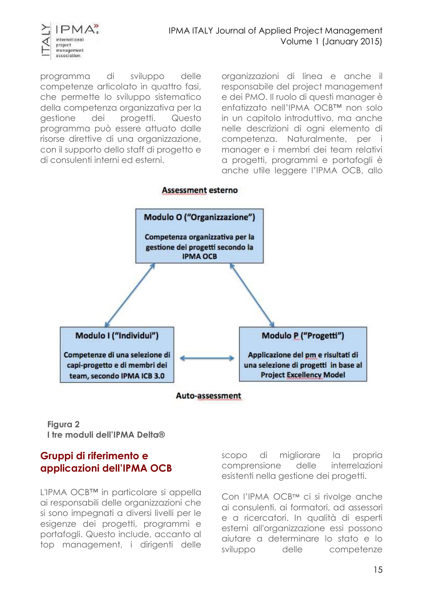

programma di sviluppo delle competenze articolato in quattro fasi, che permette lo sviluppo sistematico della competenza organizzativa per la gestione dei progetti. Questo programma può essere attuato dalle risorse direttive di una organizzazione, con il supporto dello staff di progetto e di consulenti interni ed esterni.

organizzazioni di linea e anche il responsabile del project management e dei PMO. Il ruolo di questi manager è enfatizzato nell'IPMA OCB™ non solo in un capitolo introduttivo, ma anche nelle descrizioni di ogni elemento di competenza. Naturalmente, per i manager e i membri dei team relativi a progetti, programmi e portafogli è anche utile leggere l'IPMA OCB, allo



#### **Assessment esterno**

**Figura 2 I tre moduli dell'IPMA Delta®**

#### **Gruppi di riferimento e applicazioni dell'IPMA OCB**

L'IPMA OCB™ in particolare si appella ai responsabili delle organizzazioni che si sono impegnati a diversi livelli per le esigenze dei progetti, programmi e portafogli. Questo include, accanto al top management, i dirigenti delle

scopo di migliorare la propria comprensione delle interrelazioni esistenti nella gestione dei progetti.

Con l'IPMA OCB™ ci si rivolge anche ai consulenti, ai formatori, ad assessori e a ricercatori. In qualità di esperti esterni all'organizzazione essi possono aiutare a determinare lo stato e lo sviluppo delle competenze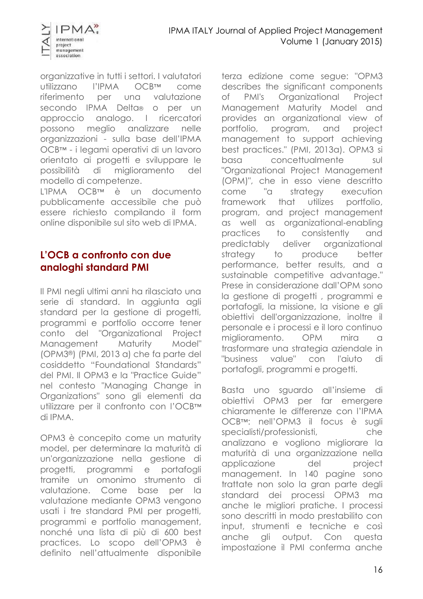

organizzative in tutti i settori. I valutatori utilizzano l'IPMA OCB™ come riferimento per una valutazione secondo IPMA Delta® o per un approccio analogo. I ricercatori possono meglio analizzare nelle organizzazioni - sulla base dell'IPMA OCB™ - i legami operativi di un lavoro orientato ai progetti e sviluppare le possibilità di miglioramento del modello di competenze.

L'IPMA OCB™ è un documento pubblicamente accessibile che può essere richiesto compilando il form online disponibile sul sito web di IPMA.

#### **L'OCB a confronto con due analoghi standard PMI**

Il PMI negli ultimi anni ha rilasciato una serie di standard. In aggiunta agli standard per la gestione di progetti, programmi e portfolio occorre tener conto del "Organizational Project Management Maturity Model" (OPM3®) (PMI, 2013 a) che fa parte del cosiddetto "Foundational Standards" del PMI. Il OPM3 e la "Practice Guide" nel contesto "Managing Change in Organizations" sono gli elementi da utilizzare per il confronto con l'OCB™ di IPMA.

OPM3 è concepito come un maturity model, per determinare la maturità di un'organizzazione nella gestione di progetti, programmi e portafogli tramite un omonimo strumento di valutazione. Come base per la valutazione mediante OPM3 vengono usati i tre standard PMI per progetti, programmi e portfolio management, nonché una lista di più di 600 best practices. Lo scopo dell'OPM3 è definito nell'attualmente disponibile

terza edizione come segue: "OPM3 describes the significant components of PMI's Organizational Project Management Maturity Model and provides an organizational view of portfolio, program, and project management to support achieving best practices." (PMI, 2013a). OPM3 si basa concettualmente sul "Organizational Project Management (OPM)", che in esso viene descritto come "a strategy execution framework that utilizes portfolio, program, and project management as well as organizational-enabling practices to consistently and predictably deliver organizational strategy to produce better performance, better results, and a sustainable competitive advantage." Prese in considerazione dall'OPM sono la gestione di progetti, programmi e portafogli, la missione, la visione e gli obiettivi dell'organizzazione, inoltre il personale e i processi e il loro continuo miglioramento. OPM mira a trasformare una strategia aziendale in "business value" con l'aiuto di portafogli, programmi e progetti.

Basta uno sguardo all'insieme di obiettivi OPM3 per far emergere chiaramente le differenze con l'IPMA OCB™: nell'OPM3 il focus è sugli specialisti/professionisti, che analizzano e vogliono migliorare la maturità di una organizzazione nella applicazione del project management. In 140 pagine sono trattate non solo la gran parte degli standard dei processi OPM3 ma anche le migliori pratiche. I processi sono descritti in modo prestabilito con input, strumenti e tecniche e così anche gli output. Con questa impostazione il PMI conferma anche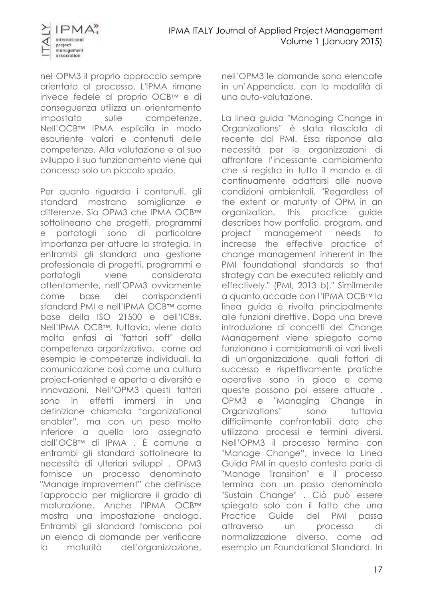

nel OPM3 il proprio approccio sempre orientato al processo. L'IPMA rimane invece fedele al proprio OCB™ e di conseguenza utilizza un orientamento impostato sulle competenze. Nell'OCB™ IPMA esplicita in modo esauriente valori e contenuti delle competenze. Alla valutazione e al suo sviluppo il suo funzionamento viene qui concesso solo un piccolo spazio.

Per quanto riguarda i contenuti, gli standard mostrano somiglianze differenze. Sia OPM3 che IPMA OCB™ sottolineano che progetti, programmi e portafogli sono di particolare importanza per attuare la strategia. In entrambi gli standard una gestione professionale di progetti, programmi e portafogli viene considerata attentamente, nell'OPM3 ovviamente come base dei corrispondenti standard PMI e nell'IPMA OCB™ come base della ISO 21500 e dell'ICB®. Nell'IPMA OCB™, tuttavia, viene data molta enfasi ai "fattori soft" della competenza organizzativa, come ad esempio le competenze individuali, la comunicazione così come una cultura project-oriented e aperta a diversità e innovazioni. Nell'OPM3 questi fattori sono in effetti immersi in una definizione chiamata "organizational enabler", ma con un peso molto inferiore a quello loro assegnato dall'OCB™ di IPMA . È comune a entrambi gli standard sottolineare la necessità di ulteriori sviluppi . OPM3 fornisce un processo denominato "Manage improvement" che definisce l'approccio per migliorare il grado di maturazione. Anche l'IPMA OCB™ mostra una impostazione analoga. Entrambi gli standard forniscono poi un elenco di domande per verificare la maturità dell'organizzazione,

nell'OPM3 le domande sono elencate in un'Appendice, con la modalità di una auto-valutazione.

La linea guida "Managing Change in Organizations" è stata rilasciata di recente dal PMI. Essa risponde alla necessità per le organizzazioni di affrontare l'incessante cambiamento che si registra in tutto il mondo e di continuamente adattarsi alle nuove condizioni ambientali. "Regardless of the extent or maturity of OPM in an organization, this practice guide describes how portfolio, program, and project management needs to increase the effective practice of change management inherent in the PMI foundational standards so that strategy can be executed reliably and effectively." (PMI, 2013 b)." Similmente a quanto accade con l'IPMA OCB™ la linea guida è rivolta principalmente alle funzioni direttive. Dopo una breve introduzione ai concetti del Change Management viene spiegato come funzionano i cambiamenti ai vari livelli di un'organizzazione, quali fattori di successo e rispettivamente pratiche operative sono in gioco e come queste possono poi essere attuate . OPM3 e "Managing Change in Organizations" sono tuttavia difficilmente confrontabili dato che utilizzano processi e termini diversi. Nell'OPM3 il processo termina con "Manage Change", invece la Linea Guida PMI in questo contesto parla di "Manage Transition" e il processo termina con un passo denominato "Sustain Change" . Ciò può essere spiegato solo con il fatto che una Practice Guide del PMI passa attraverso un processo di normalizzazione diverso, come ad esempio un Foundational Standard. In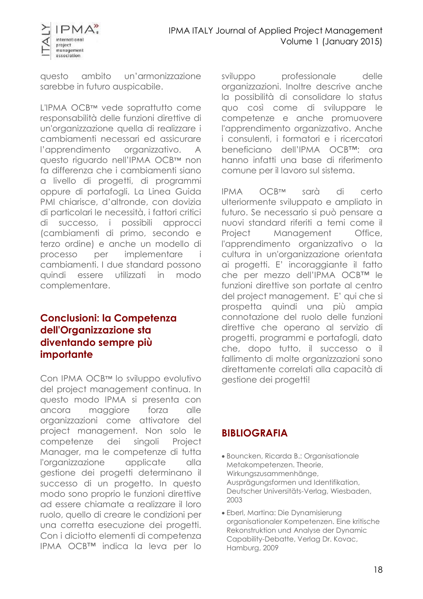

questo ambito un'armonizzazione sarebbe in futuro auspicabile.

L'IPMA OCB™ vede soprattutto come responsabilità delle funzioni direttive di un'organizzazione quella di realizzare i cambiamenti necessari ed assicurare l'apprendimento organizzativo. A questo riguardo nell'IPMA OCB™ non fa differenza che i cambiamenti siano a livello di progetti, di programmi oppure di portafogli. La Linea Guida PMI chiarisce, d'altronde, con dovizia di particolari le necessità, i fattori critici di successo, i possibili approcci (cambiamenti di primo, secondo e terzo ordine) e anche un modello di processo per implementare i cambiamenti. I due standard possono quindi essere utilizzati in modo complementare.

#### **Conclusioni: la Competenza dell'Organizzazione sta diventando sempre più importante**

Con IPMA OCB™ lo sviluppo evolutivo del project management continua. In questo modo IPMA si presenta con ancora maggiore forza alle organizzazioni come attivatore del project management. Non solo le competenze dei singoli Project Manager, ma le competenze di tutta l'organizzazione applicate alla gestione dei progetti determinano il successo di un progetto. In questo modo sono proprio le funzioni direttive ad essere chiamate a realizzare il loro ruolo, quello di creare le condizioni per una corretta esecuzione dei progetti. Con i diciotto elementi di competenza IPMA OCB™ indica la leva per lo sviluppo professionale delle organizzazioni. Inoltre descrive anche la possibilità di consolidare lo status quo così come di sviluppare le competenze e anche promuovere l'apprendimento organizzativo. Anche i consulenti, i formatori e i ricercatori beneficiano dell'IPMA OCB™: ora hanno infatti una base di riferimento comune per il lavoro sul sistema.

IPMA OCB™ sarà di certo ulteriormente sviluppato e ampliato in futuro. Se necessario si può pensare a nuovi standard riferiti a temi come il Project Management Office, l'apprendimento organizzativo o la cultura in un'organizzazione orientata ai progetti. E' incoraggiante il fatto che per mezzo dell'IPMA OCB™ le funzioni direttive son portate al centro del project management. E' qui che si prospetta quindi una più ampia connotazione del ruolo delle funzioni direttive che operano al servizio di progetti, programmi e portafogli, dato che, dopo tutto, il successo o il fallimento di molte organizzazioni sono direttamente correlati alla capacità di gestione dei progetti!

#### **BIBLIOGRAFIA**

- Bouncken, Ricarda B.: Organisationale Metakompetenzen. Theorie, Wirkungszusammenhänge, Ausprägungsformen und Identifikation, Deutscher Universitäts-Verlag, Wiesbaden, 2003
- Eberl, Martina: Die Dynamisierung organisationaler Kompetenzen. Eine kritische Rekonstruktion und Analyse der Dynamic Capability-Debatte, Verlag Dr. Kovac, Hamburg, 2009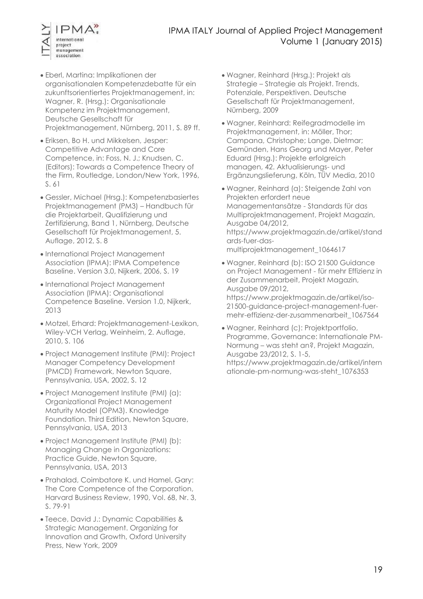



- Eberl, Martina: Implikationen der organisationalen Kompetenzdebatte für ein zukunftsorientiertes Projektmanagement, in: Wagner, R. (Hrsg.): Organisationale Kompetenz im Projektmanagement, Deutsche Gesellschaft für Projektmanagement, Nürnberg, 2011, S. 89 ff.
- Eriksen, Bo H. und Mikkelsen, Jesper: Competitive Advantage and Core Competence, in: Foss, N. J.; Knudsen, C. (Editors): Towards a Competence Theory of the Firm, Routledge, London/New York, 1996, S. 61
- Gessler, Michael (Hrsg.): Kompetenzbasiertes Projektmanagement (PM3) – Handbuch für die Projektarbeit, Qualifizierung und Zertifizierung, Band 1, Nürnberg, Deutsche Gesellschaft für Projektmanagement, 5. Auflage, 2012, S. 8
- International Project Management Association (IPMA): IPMA Competence Baseline. Version 3.0, Nijkerk, 2006, S. 19
- International Project Management Association (IPMA): Organisational Competence Baseline. Version 1.0, Nijkerk, 2013
- Motzel, Erhard: Projektmanagement-Lexikon, Wiley-VCH Verlag, Weinheim, 2. Auflage, 2010, S. 106
- Project Management Institute (PMI): Project Manager Competency Development (PMCD) Framework, Newton Square, Pennsylvania, USA, 2002, S. 12
- Project Management Institute (PMI) (a): Organizational Project Management Maturity Model (OPM3). Knowledge Foundation. Third Edition, Newton Square, Pennsylvania, USA, 2013
- Project Management Institute (PMI) (b): Managing Change in Organizations: Practice Guide, Newton Square, Pennsylvania, USA, 2013
- Prahalad, Coimbatore K. und Hamel, Gary: The Core Competence of the Corporation, Harvard Business Review, 1990, Vol. 68, Nr. 3, S. 79-91
- Teece, David J.: Dynamic Capabilities & Strategic Management. Organizing for Innovation and Growth, Oxford University Press, New York, 2009
- Wagner, Reinhard (Hrsg.): Projekt als Strategie – Strategie als Projekt. Trends, Potenziale, Perspektiven. Deutsche Gesellschaft für Projektmanagement, Nürnberg, 2009
- Wagner, Reinhard: Reifegradmodelle im Projektmanagement, in: Möller, Thor; Campana, Christophe; Lange, Dietmar; Gemünden, Hans Georg und Mayer, Peter Eduard (Hrsg.): Projekte erfolgreich managen, 42. Aktualisierungs- und Ergänzungslieferung, Köln, TÜV Media, 2010
- Wagner, Reinhard (a): Steigende Zahl von Projekten erfordert neue Managementansätze - Standards für das Multiprojektmanagement, Projekt Magazin, Ausgabe 04/2012, [https://www.projektmagazin.de/artikel/stand](https://www.projektmagazin.de/artikel/standards-fuer-das-multiprojektmanagement_1064617) [ards-fuer-das](https://www.projektmagazin.de/artikel/standards-fuer-das-multiprojektmanagement_1064617)[multiprojektmanagement\\_1064617](https://www.projektmagazin.de/artikel/standards-fuer-das-multiprojektmanagement_1064617)
- Wagner, Reinhard (b): ISO 21500 Guidance on Project Management - für mehr Effizienz in der Zusammenarbeit, Projekt Magazin, Ausgabe 09/2012, [https://www.projektmagazin.de/artikel/iso-](https://www.projektmagazin.de/artikel/iso-21500-guidance-project-management-fuer-mehr-effizienz-der-zusammenarbeit_1067564)

[21500-guidance-project-management-fuer](https://www.projektmagazin.de/artikel/iso-21500-guidance-project-management-fuer-mehr-effizienz-der-zusammenarbeit_1067564)[mehr-effizienz-der-zusammenarbeit\\_1067564](https://www.projektmagazin.de/artikel/iso-21500-guidance-project-management-fuer-mehr-effizienz-der-zusammenarbeit_1067564)

 Wagner, Reinhard (c): Projektportfolio, Programme, Governance: Internationale PM-Normung – was steht an?, Projekt Magazin, Ausgabe 23/2012, S. 1-5, [https://www.projektmagazin.de/artikel/intern](https://www.projektmagazin.de/artikel/internationale-pm-normung-was-steht_1076353) [ationale-pm-normung-was-steht\\_1076353](https://www.projektmagazin.de/artikel/internationale-pm-normung-was-steht_1076353)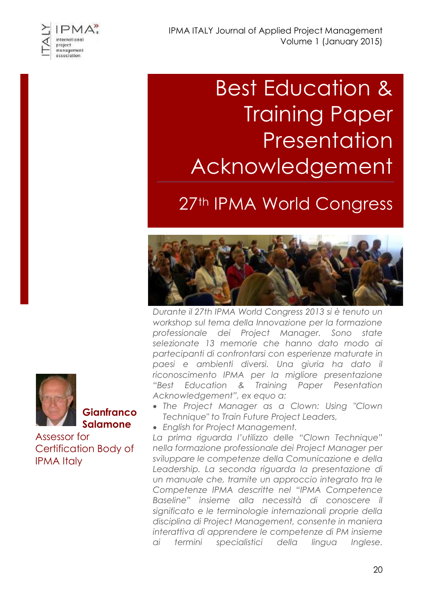

# Best Education & Training Paper Presentation Acknowledgement

# 27<sup>th</sup> IPMA World Congress



*Durante il 27th IPMA World Congress 2013 si è tenuto un workshop sul tema della Innovazione per la formazione professionale dei Project Manager. Sono state selezionate 13 memorie che hanno dato modo ai partecipanti di confrontarsi con esperienze maturate in paesi e ambienti diversi. Una giuria ha dato il riconoscimento IPMA per la migliore presentazione "Best Education & Training Paper Pesentation Acknowledgement", ex equo a:*

- *The Project Manager as a Clown: Using "Clown Technique" to Train Future Project Leaders,*
- *English for Project Management.*

*La prima riguarda l'utilizzo delle "Clown Technique" nella formazione professionale dei Project Manager per sviluppare le competenze della Comunicazione e della Leadership. La seconda riguarda la presentazione di un manuale che, tramite un approccio integrato tra le Competenze IPMA descritte nel "IPMA Competence Baseline" insieme alla necessità di conoscere il significato e le terminologie internazionali proprie della disciplina di Project Management, consente in maniera interattiva di apprendere le competenze di PM insieme ai termini specialistici della lingua Inglese.*



**Gianfranco Salamone**

Assessor for Certification Body of IPMA Italy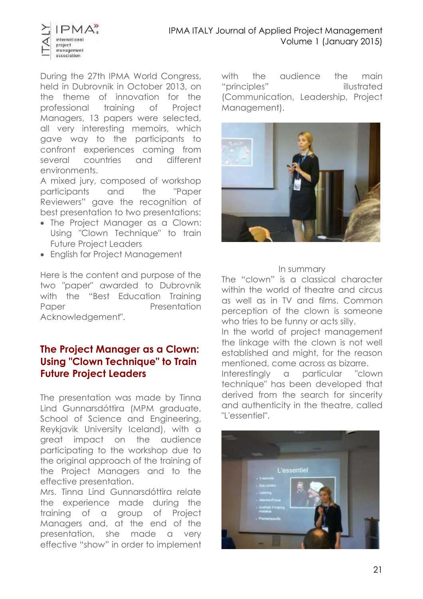



During the 27th IPMA World Congress, held in Dubrovnik in October 2013, on the theme of innovation for the professional training of Project Managers, 13 papers were selected, all very interesting memoirs, which gave way to the participants to confront experiences coming from several countries and different environments.

A mixed jury, composed of workshop participants and the "Paper Reviewers" gave the recognition of best presentation to two presentations:

- The Project Manager as a Clown: Using "Clown Technique" to train Future Project Leaders
- English for Project Management

Here is the content and purpose of the two "paper" awarded to Dubrovnik with the "Best Education Training Paper Presentation Acknowledgement".

#### **The Project Manager as a Clown: Using "Clown Technique" to Train Future Project Leaders**

The presentation was made by Tinna Lind Gunnarsdóttira (MPM graduate, School of Science and Engineering, Reykjavik University Iceland), with a great impact on the audience participating to the workshop due to the original approach of the training of the Project Managers and to the effective presentation.

Mrs. Tinna Lind Gunnarsdóttira relate the experience made during the training of a group of Project Managers and, at the end of the presentation, she made a very effective "show" in order to implement with the audience the main "principles" illustrated (Communication, Leadership, Project Management).



#### In summary

The "clown" is a classical character within the world of theatre and circus as well as in TV and films. Common perception of the clown is someone who tries to be funny or acts silly.

In the world of project management the linkage with the clown is not well established and might, for the reason mentioned, come across as bizarre.

Interestingly a particular "clown technique" has been developed that derived from the search for sincerity and authenticity in the theatre, called "L'essentiel".

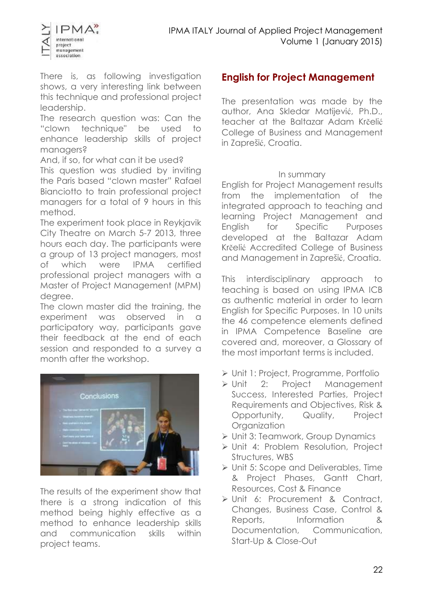

There is, as following investigation shows, a very interesting link between this technique and professional project leadership.

The research question was: Can the "clown technique" be used to enhance leadership skills of project managers?

And, if so, for what can it be used?

This question was studied by inviting the Paris based "clown master" Rafael Bianciotto to train professional project managers for a total of 9 hours in this method.

The experiment took place in Reykjavik City Theatre on March 5-7 2013, three hours each day. The participants were a group of 13 project managers, most of which were IPMA certified professional project managers with a Master of Project Management (MPM) degree.

The clown master did the training, the experiment was observed in a participatory way, participants gave their feedback at the end of each session and responded to a survey a month after the workshop.



The results of the experiment show that there is a strong indication of this method being highly effective as a method to enhance leadership skills and communication skills within project teams.

#### **English for Project Management**

The presentation was made by the author, Ana Skledar Matijević, Ph.D., teacher at the Baltazar Adam Krčelić College of Business and Management in Zaprešić, Croatia.

#### In summary

English for Project Management results from the implementation of the integrated approach to teaching and learning Project Management and English for Specific Purposes developed at the Baltazar Adam Krčelić Accredited College of Business and Management in Zaprešić, Croatia.

This interdisciplinary approach to teaching is based on using IPMA ICB as authentic material in order to learn English for Specific Purposes. In 10 units the 46 competence elements defined in IPMA Competence Baseline are covered and, moreover, a Glossary of the most important terms is included.

- Unit 1: Project, Programme, Portfolio
- Unit 2: Project Management Success, Interested Parties, Project Requirements and Objectives, Risk & Opportunity, Quality, Project **Organization**
- Unit 3: Teamwork, Group Dynamics
- Unit 4: Problem Resolution, Project Structures, WBS
- Unit 5: Scope and Deliverables, Time & Project Phases, Gantt Chart, Resources, Cost & Finance
- > Unit 6: Procurement & Contract, Changes, Business Case, Control & Reports, Information & Documentation, Communication, Start-Up & Close-Out